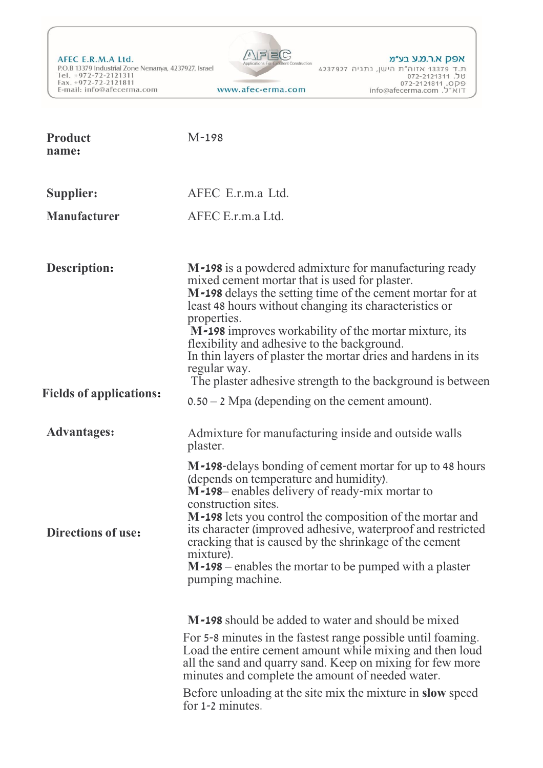AFEC E.R.M.A Ltd. P.O.B 13379 Industrial Zone Nenanya, 4237927, Israel Tel. +972-72-2121311<br>Fax. +972-72-2121811 E-mail: info@afecerma.com



**Product name:** M-198 **Supplier: Manufacturer**  AFEC E.r.m.a Ltd. AFEC E.r.m.a Ltd. **Description: Fields of applications: Advantages: Directions of use: M-198** is a powdered admixture for manufacturing ready mixed cement mortar that is used for plaster. **M-198** delays the setting time of the cement mortar for at least 48 hours without changing its characteristics or properties. **M-198** improves workability of the mortar mixture, its flexibility and adhesive to the background. In thin layers of plaster the mortar dries and hardens in its regular way. The plaster adhesive strength to the background is between 0.50 – 2 Mpa (depending on the cement amount). Admixture for manufacturing inside and outside walls plaster. **M-198**-delays bonding of cement mortar for up to 48 hours (depends on temperature and humidity). **M-198**– enables delivery of ready-mix mortar to construction sites. **M-198** lets you control the composition of the mortar and its character (improved adhesive, waterproof and restricted cracking that is caused by the shrinkage of the cement mixture). **M-198** – enables the mortar to be pumped with a plaster pumping machine. **M-198** should be added to water and should be mixed For 5-8 minutes in the fastest range possible until foaming. Load the entire cement amount while mixing and then loud all the sand and quarry sand. Keep on mixing for few more minutes and complete the amount of needed water. Before unloading at the site mix the mixture in **slow** speed for 1-2 minutes.